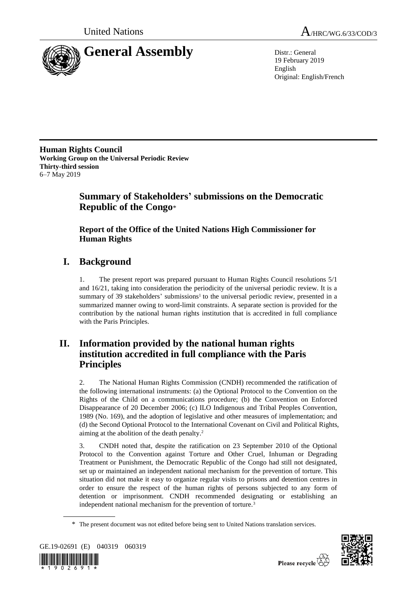



19 February 2019 English Original: English/French

**Human Rights Council Working Group on the Universal Periodic Review Thirty-third session** 6–7 May 2019

# **Summary of Stakeholders' submissions on the Democratic Republic of the Congo**\*

## **Report of the Office of the United Nations High Commissioner for Human Rights**

# **I. Background**

1. The present report was prepared pursuant to Human Rights Council resolutions 5/1 and 16/21, taking into consideration the periodicity of the universal periodic review. It is a summary of 39 stakeholders' submissions<sup>1</sup> to the universal periodic review, presented in a summarized manner owing to word-limit constraints. A separate section is provided for the contribution by the national human rights institution that is accredited in full compliance with the Paris Principles.

# **II. Information provided by the national human rights institution accredited in full compliance with the Paris Principles**

2. The National Human Rights Commission (CNDH) recommended the ratification of the following international instruments: (a) the Optional Protocol to the Convention on the Rights of the Child on a communications procedure; (b) the Convention on Enforced Disappearance of 20 December 2006; (c) ILO Indigenous and Tribal Peoples Convention, 1989 (No. 169), and the adoption of legislative and other measures of implementation; and (d) the Second Optional Protocol to the International Covenant on Civil and Political Rights, aiming at the abolition of the death penalty. 2

3. CNDH noted that, despite the ratification on 23 September 2010 of the Optional Protocol to the Convention against Torture and Other Cruel, Inhuman or Degrading Treatment or Punishment, the Democratic Republic of the Congo had still not designated, set up or maintained an independent national mechanism for the prevention of torture. This situation did not make it easy to organize regular visits to prisons and detention centres in order to ensure the respect of the human rights of persons subjected to any form of detention or imprisonment. CNDH recommended designating or establishing an independent national mechanism for the prevention of torture.<sup>3</sup>

<sup>\*</sup> The present document was not edited before being sent to United Nations translation services.



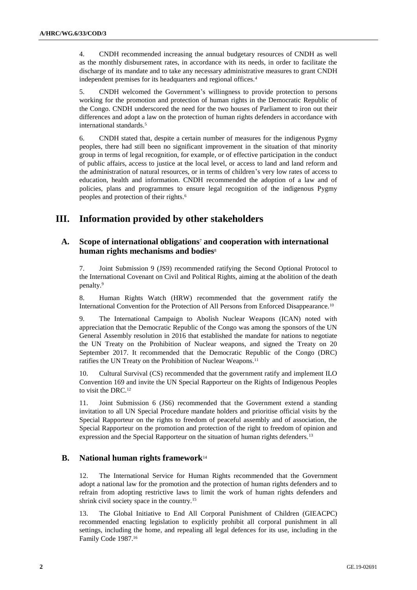4. CNDH recommended increasing the annual budgetary resources of CNDH as well as the monthly disbursement rates, in accordance with its needs, in order to facilitate the discharge of its mandate and to take any necessary administrative measures to grant CNDH independent premises for its headquarters and regional offices.<sup>4</sup>

5. CNDH welcomed the Government's willingness to provide protection to persons working for the promotion and protection of human rights in the Democratic Republic of the Congo. CNDH underscored the need for the two houses of Parliament to iron out their differences and adopt a law on the protection of human rights defenders in accordance with international standards.<sup>5</sup>

6. CNDH stated that, despite a certain number of measures for the indigenous Pygmy peoples, there had still been no significant improvement in the situation of that minority group in terms of legal recognition, for example, or of effective participation in the conduct of public affairs, access to justice at the local level, or access to land and land reform and the administration of natural resources, or in terms of children's very low rates of access to education, health and information. CNDH recommended the adoption of a law and of policies, plans and programmes to ensure legal recognition of the indigenous Pygmy peoples and protection of their rights.<sup>6</sup>

## **III. Information provided by other stakeholders**

## **A. Scope of international obligations**<sup>7</sup> **and cooperation with international human rights mechanisms and bodies**<sup>8</sup>

7. Joint Submission 9 (JS9) recommended ratifying the Second Optional Protocol to the International Covenant on Civil and Political Rights, aiming at the abolition of the death penalty.<sup>9</sup>

8. Human Rights Watch (HRW) recommended that the government ratify the International Convention for the Protection of All Persons from Enforced Disappearance.<sup>10</sup>

9. The International Campaign to Abolish Nuclear Weapons (ICAN) noted with appreciation that the Democratic Republic of the Congo was among the sponsors of the UN General Assembly resolution in 2016 that established the mandate for nations to negotiate the UN Treaty on the Prohibition of Nuclear weapons, and signed the Treaty on 20 September 2017. It recommended that the Democratic Republic of the Congo (DRC) ratifies the UN Treaty on the Prohibition of Nuclear Weapons.<sup>11</sup>

10. Cultural Survival (CS) recommended that the government ratify and implement ILO Convention 169 and invite the UN Special Rapporteur on the Rights of Indigenous Peoples to visit the DRC.<sup>12</sup>

11. Joint Submission 6 (JS6) recommended that the Government extend a standing invitation to all UN Special Procedure mandate holders and prioritise official visits by the Special Rapporteur on the rights to freedom of peaceful assembly and of association, the Special Rapporteur on the promotion and protection of the right to freedom of opinion and expression and the Special Rapporteur on the situation of human rights defenders.<sup>13</sup>

## **B. National human rights framework**<sup>14</sup>

12. The International Service for Human Rights recommended that the Government adopt a national law for the promotion and the protection of human rights defenders and to refrain from adopting restrictive laws to limit the work of human rights defenders and shrink civil society space in the country.<sup>15</sup>

13. The Global Initiative to End All Corporal Punishment of Children (GIEACPC) recommended enacting legislation to explicitly prohibit all corporal punishment in all settings, including the home, and repealing all legal defences for its use, including in the Family Code 1987.16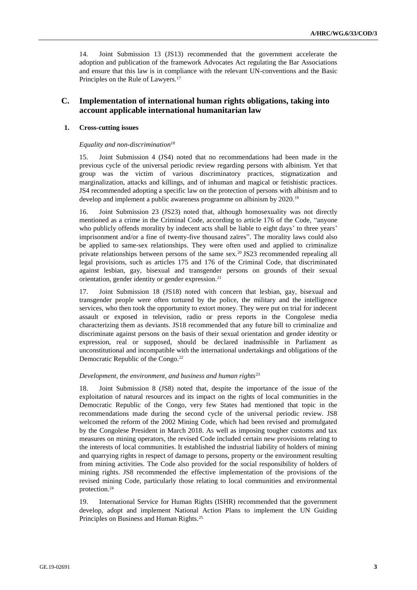14. Joint Submission 13 (JS13) recommended that the government accelerate the adoption and publication of the framework Advocates Act regulating the Bar Associations and ensure that this law is in compliance with the relevant UN-conventions and the Basic Principles on the Rule of Lawyers.<sup>17</sup>

## **C. Implementation of international human rights obligations, taking into account applicable international humanitarian law**

### **1. Cross-cutting issues**

## *Equality and non-discrimination*<sup>18</sup>

15. Joint Submission 4 (JS4) noted that no recommendations had been made in the previous cycle of the universal periodic review regarding persons with albinism. Yet that group was the victim of various discriminatory practices, stigmatization and marginalization, attacks and killings, and of inhuman and magical or fetishistic practices. JS4 recommended adopting a specific law on the protection of persons with albinism and to develop and implement a public awareness programme on albinism by 2020.<sup>19</sup>

16. Joint Submission 23 (JS23) noted that, although homosexuality was not directly mentioned as a crime in the Criminal Code, according to article 176 of the Code, "anyone who publicly offends morality by indecent acts shall be liable to eight days' to three years' imprisonment and/or a fine of twenty-five thousand zaïres". The morality laws could also be applied to same-sex relationships. They were often used and applied to criminalize private relationships between persons of the same sex.<sup>20</sup> JS23 recommended repealing all legal provisions, such as articles 175 and 176 of the Criminal Code, that discriminated against lesbian, gay, bisexual and transgender persons on grounds of their sexual orientation, gender identity or gender expression.<sup>21</sup>

17. Joint Submission 18 (JS18) noted with concern that lesbian, gay, bisexual and transgender people were often tortured by the police, the military and the intelligence services, who then took the opportunity to extort money. They were put on trial for indecent assault or exposed in television, radio or press reports in the Congolese media characterizing them as deviants. JS18 recommended that any future bill to criminalize and discriminate against persons on the basis of their sexual orientation and gender identity or expression, real or supposed, should be declared inadmissible in Parliament as unconstitutional and incompatible with the international undertakings and obligations of the Democratic Republic of the Congo.<sup>22</sup>

#### *Development, the environment, and business and human rights*<sup>23</sup>

18. Joint Submission 8 (JS8) noted that, despite the importance of the issue of the exploitation of natural resources and its impact on the rights of local communities in the Democratic Republic of the Congo, very few States had mentioned that topic in the recommendations made during the second cycle of the universal periodic review. JS8 welcomed the reform of the 2002 Mining Code, which had been revised and promulgated by the Congolese President in March 2018. As well as imposing tougher customs and tax measures on mining operators, the revised Code included certain new provisions relating to the interests of local communities. It established the industrial liability of holders of mining and quarrying rights in respect of damage to persons, property or the environment resulting from mining activities. The Code also provided for the social responsibility of holders of mining rights. JS8 recommended the effective implementation of the provisions of the revised mining Code, particularly those relating to local communities and environmental protection.<sup>24</sup>

19. International Service for Human Rights (ISHR) recommended that the government develop, adopt and implement National Action Plans to implement the UN Guiding Principles on Business and Human Rights.25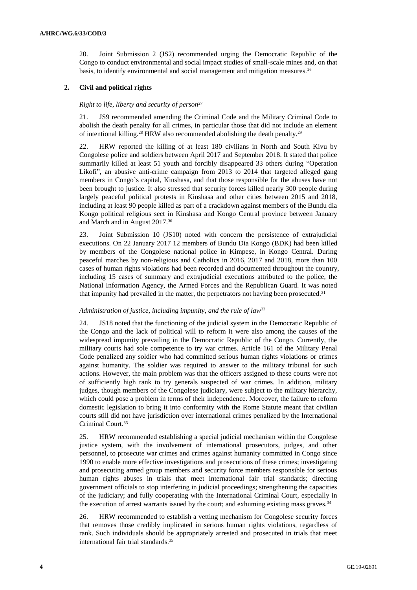20. Joint Submission 2 (JS2) recommended urging the Democratic Republic of the Congo to conduct environmental and social impact studies of small-scale mines and, on that basis, to identify environmental and social management and mitigation measures.<sup>26</sup>

## **2. Civil and political rights**

#### *Right to life, liberty and security of person*<sup>27</sup>

21. JS9 recommended amending the Criminal Code and the Military Criminal Code to abolish the death penalty for all crimes, in particular those that did not include an element of intentional killing.<sup>28</sup> HRW also recommended abolishing the death penalty.<sup>29</sup>

22. HRW reported the killing of at least 180 civilians in North and South Kivu by Congolese police and soldiers between April 2017 and September 2018. It stated that police summarily killed at least 51 youth and forcibly disappeared 33 others during "Operation Likofi", an abusive anti-crime campaign from 2013 to 2014 that targeted alleged gang members in Congo's capital, Kinshasa, and that those responsible for the abuses have not been brought to justice. It also stressed that security forces killed nearly 300 people during largely peaceful political protests in Kinshasa and other cities between 2015 and 2018, including at least 90 people killed as part of a crackdown against members of the Bundu dia Kongo political religious sect in Kinshasa and Kongo Central province between January and March and in August 2017.<sup>30</sup>

23. Joint Submission 10 (JS10) noted with concern the persistence of extrajudicial executions. On 22 January 2017 12 members of Bundu Dia Kongo (BDK) had been killed by members of the Congolese national police in Kimpese, in Kongo Central. During peaceful marches by non-religious and Catholics in 2016, 2017 and 2018, more than 100 cases of human rights violations had been recorded and documented throughout the country, including 15 cases of summary and extrajudicial executions attributed to the police, the National Information Agency, the Armed Forces and the Republican Guard. It was noted that impunity had prevailed in the matter, the perpetrators not having been prosecuted.<sup>31</sup>

#### *Administration of justice, including impunity, and the rule of law*<sup>32</sup>

24. JS18 noted that the functioning of the judicial system in the Democratic Republic of the Congo and the lack of political will to reform it were also among the causes of the widespread impunity prevailing in the Democratic Republic of the Congo. Currently, the military courts had sole competence to try war crimes. Article 161 of the Military Penal Code penalized any soldier who had committed serious human rights violations or crimes against humanity. The soldier was required to answer to the military tribunal for such actions. However, the main problem was that the officers assigned to these courts were not of sufficiently high rank to try generals suspected of war crimes. In addition, military judges, though members of the Congolese judiciary, were subject to the military hierarchy, which could pose a problem in terms of their independence. Moreover, the failure to reform domestic legislation to bring it into conformity with the Rome Statute meant that civilian courts still did not have jurisdiction over international crimes penalized by the International Criminal Court.<sup>33</sup>

25. HRW recommended establishing a special judicial mechanism within the Congolese justice system, with the involvement of international prosecutors, judges, and other personnel, to prosecute war crimes and crimes against humanity committed in Congo since 1990 to enable more effective investigations and prosecutions of these crimes; investigating and prosecuting armed group members and security force members responsible for serious human rights abuses in trials that meet international fair trial standards; directing government officials to stop interfering in judicial proceedings; strengthening the capacities of the judiciary; and fully cooperating with the International Criminal Court, especially in the execution of arrest warrants issued by the court; and exhuming existing mass graves.<sup>34</sup>

26. HRW recommended to establish a vetting mechanism for Congolese security forces that removes those credibly implicated in serious human rights violations, regardless of rank. Such individuals should be appropriately arrested and prosecuted in trials that meet international fair trial standards.35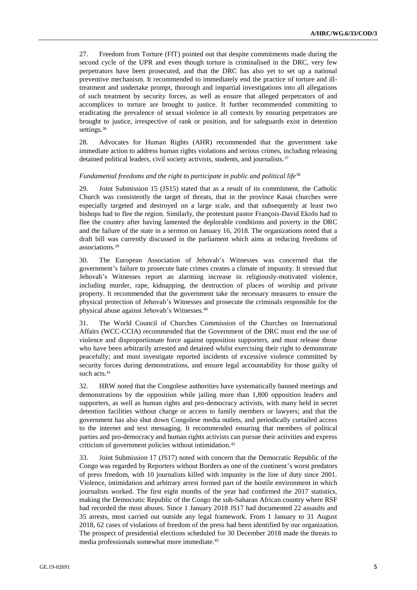27. Freedom from Torture (FfT) pointed out that despite commitments made during the second cycle of the UPR and even though torture is criminalised in the DRC, very few perpetrators have been prosecuted, and that the DRC has also yet to set up a national preventive mechanism. It recommended to immediately end the practice of torture and illtreatment and undertake prompt, thorough and impartial investigations into all allegations of such treatment by security forces, as well as ensure that alleged perpetrators of and accomplices to torture are brought to justice. It further recommended committing to eradicating the prevalence of sexual violence in all contexts by ensuring perpetrators are brought to justice, irrespective of rank or position, and for safeguards exist in detention settings.<sup>36</sup>

28. Advocates for Human Rights (AHR) recommended that the government take immediate action to address human rights violations and serious crimes, including releasing detained political leaders, civil society activists, students, and journalists.<sup>37</sup>

#### Fundamental freedoms and the right to participate in public and political life<sup>38</sup>

29. Joint Submission 15 (JS15) stated that as a result of its commitment, the Catholic Church was consistently the target of threats, that in the province Kasai churches were especially targeted and destroyed on a large scale, and that subsequently at least two bishops had to flee the region. Similarly, the protestant pastor François-David Ekofo had to flee the country after having lamented the deplorable conditions and poverty in the DRC and the failure of the state in a sermon on January 16, 2018. The organizations noted that a draft bill was currently discussed in the parliament which aims at reducing freedoms of associations.<sup>39</sup>

30. The European Association of Jehovah's Witnesses was concerned that the government's failure to prosecute hate crimes creates a climate of impunity. It stressed that Jehovah's Witnesses report an alarming increase in religiously-motivated violence, including murder, rape, kidnapping, the destruction of places of worship and private property. It recommended that the government take the necessary measures to ensure the physical protection of Jehovah's Witnesses and prosecute the criminals responsible for the physical abuse against Jehovah's Witnesses.<sup>40</sup>

31. The World Council of Churches Commission of the Churches on International Affairs (WCC-CCIA) recommended that the Government of the DRC must end the use of violence and disproportionate force against opposition supporters, and must release those who have been arbitrarily arrested and detained whilst exercising their right to demonstrate peacefully; and must investigate reported incidents of excessive violence committed by security forces during demonstrations, and ensure legal accountability for those guilty of such acts.<sup>41</sup>

32. HRW noted that the Congolese authorities have systematically banned meetings and demonstrations by the opposition while jailing more than 1,800 opposition leaders and supporters, as well as human rights and pro-democracy activists, with many held in secret detention facilities without charge or access to family members or lawyers; and that the government has also shut down Congolese media outlets, and periodically curtailed access to the internet and text messaging. It recommended ensuring that members of political parties and pro-democracy and human rights activists can pursue their activities and express criticism of government policies without intimidation.<sup>42</sup>

33. Joint Submission 17 (JS17) noted with concern that the Democratic Republic of the Congo was regarded by Reporters without Borders as one of the continent's worst predators of press freedom, with 10 journalists killed with impunity in the line of duty since 2001. Violence, intimidation and arbitrary arrest formed part of the hostile environment in which journalists worked. The first eight months of the year had confirmed the 2017 statistics, making the Democratic Republic of the Congo the sub-Saharan African country where RSF had recorded the most abuses. Since 1 January 2018 JS17 had documented 22 assaults and 35 arrests, most carried out outside any legal framework. From 1 January to 31 August 2018, 62 cases of violations of freedom of the press had been identified by our organization. The prospect of presidential elections scheduled for 30 December 2018 made the threats to media professionals somewhat more immediate.43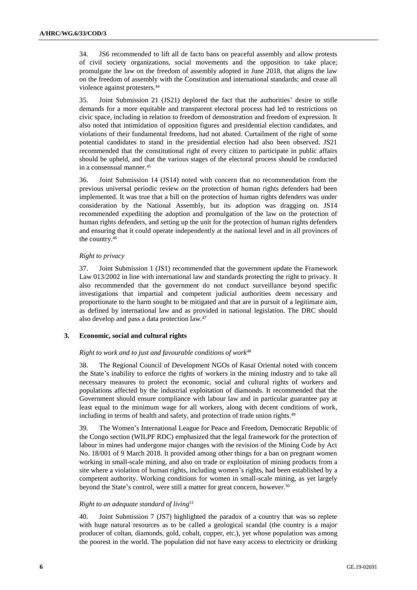34. JS6 recommended to lift all de facto bans on peaceful assembly and allow protests of civil society organizations, social movements and the opposition to take place; promulgate the law on the freedom of assembly adopted in June 2018, that aligns the law on the freedom of assembly with the Constitution and international standards; and cease all violence against protesters.<sup>44</sup>

35. Joint Submission 21 (JS21) deplored the fact that the authorities' desire to stifle demands for a more equitable and transparent electoral process had led to restrictions on civic space, including in relation to freedom of demonstration and freedom of expression. It also noted that intimidation of opposition figures and presidential election candidates, and violations of their fundamental freedoms, had not abated. Curtailment of the right of some potential candidates to stand in the presidential election had also been observed. JS21 recommended that the constitutional right of every citizen to participate in public affairs should be upheld, and that the various stages of the electoral process should be conducted in a consensual manner.<sup>45</sup>

36. Joint Submission 14 (JS14) noted with concern that no recommendation from the previous universal periodic review on the protection of human rights defenders had been implemented. It was true that a bill on the protection of human rights defenders was under consideration by the National Assembly, but its adoption was dragging on. JS14 recommended expediting the adoption and promulgation of the law on the protection of human rights defenders, and setting up the unit for the protection of human rights defenders and ensuring that it could operate independently at the national level and in all provinces of the country.<sup>46</sup>

#### *Right to privacy*

37. Joint Submission 1 (JS1) recommended that the government update the Framework Law 013/2002 in line with international law and standards protecting the right to privacy. It also recommended that the government do not conduct surveillance beyond specific investigations that impartial and competent judicial authorities deem necessary and proportionate to the harm sought to be mitigated and that are in pursuit of a legitimate aim, as defined by international law and as provided in national legislation. The DRC should also develop and pass a data protection law.<sup>47</sup>

## **3. Economic, social and cultural rights**

#### *Right to work and to just and favourable conditions of work*<sup>48</sup>

38. The Regional Council of Development NGOs of Kasaï Oriental noted with concern the State's inability to enforce the rights of workers in the mining industry and to take all necessary measures to protect the economic, social and cultural rights of workers and populations affected by the industrial exploitation of diamonds. It recommended that the Government should ensure compliance with labour law and in particular guarantee pay at least equal to the minimum wage for all workers, along with decent conditions of work, including in terms of health and safety, and protection of trade union rights.<sup>49</sup>

39. The Women's International League for Peace and Freedom, Democratic Republic of the Congo section (WILPF RDC) emphasized that the legal framework for the protection of labour in mines had undergone major changes with the revision of the Mining Code by Act No. 18/001 of 9 March 2018. It provided among other things for a ban on pregnant women working in small-scale mining, and also on trade or exploitation of mining products from a site where a violation of human rights, including women's rights, had been established by a competent authority. Working conditions for women in small-scale mining, as yet largely beyond the State's control, were still a matter for great concern, however.<sup>50</sup>

### *Right to an adequate standard of living*<sup>51</sup>

40. Joint Submission 7 (JS7) highlighted the paradox of a country that was so replete with huge natural resources as to be called a geological scandal (the country is a major producer of coltan, diamonds, gold, cobalt, copper, etc.), yet whose population was among the poorest in the world. The population did not have easy access to electricity or drinking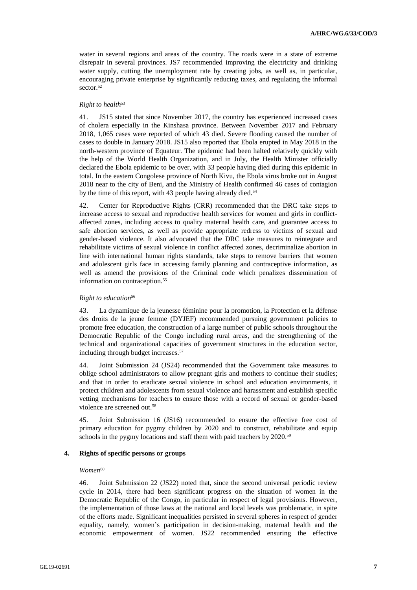water in several regions and areas of the country. The roads were in a state of extreme disrepair in several provinces. JS7 recommended improving the electricity and drinking water supply, cutting the unemployment rate by creating jobs, as well as, in particular, encouraging private enterprise by significantly reducing taxes, and regulating the informal sector.<sup>52</sup>

#### *Right to health*<sup>53</sup>

41. JS15 stated that since November 2017, the country has experienced increased cases of cholera especially in the Kinshasa province. Between November 2017 and February 2018, 1,065 cases were reported of which 43 died. Severe flooding caused the number of cases to double in January 2018. JS15 also reported that Ebola erupted in May 2018 in the north-western province of Equateur. The epidemic had been halted relatively quickly with the help of the World Health Organization, and in July, the Health Minister officially declared the Ebola epidemic to be over, with 33 people having died during this epidemic in total. In the eastern Congolese province of North Kivu, the Ebola virus broke out in August 2018 near to the city of Beni, and the Ministry of Health confirmed 46 cases of contagion by the time of this report, with 43 people having already died.<sup>54</sup>

42. Center for Reproductive Rights (CRR) recommended that the DRC take steps to increase access to sexual and reproductive health services for women and girls in conflictaffected zones, including access to quality maternal health care, and guarantee access to safe abortion services, as well as provide appropriate redress to victims of sexual and gender-based violence. It also advocated that the DRC take measures to reintegrate and rehabilitate victims of sexual violence in conflict affected zones, decriminalize abortion in line with international human rights standards, take steps to remove barriers that women and adolescent girls face in accessing family planning and contraceptive information, as well as amend the provisions of the Criminal code which penalizes dissemination of information on contraception.<sup>55</sup>

#### *Right to education*<sup>56</sup>

43. La dynamique de la jeunesse féminine pour la promotion, la Protection et la défense des droits de la jeune femme (DYJEF) recommended pursuing government policies to promote free education, the construction of a large number of public schools throughout the Democratic Republic of the Congo including rural areas, and the strengthening of the technical and organizational capacities of government structures in the education sector, including through budget increases.<sup>57</sup>

44. Joint Submission 24 (JS24) recommended that the Government take measures to oblige school administrators to allow pregnant girls and mothers to continue their studies; and that in order to eradicate sexual violence in school and education environments, it protect children and adolescents from sexual violence and harassment and establish specific vetting mechanisms for teachers to ensure those with a record of sexual or gender-based violence are screened out.<sup>58</sup>

45. Joint Submission 16 (JS16) recommended to ensure the effective free cost of primary education for pygmy children by 2020 and to construct, rehabilitate and equip schools in the pygmy locations and staff them with paid teachers by 2020.<sup>59</sup>

## **4. Rights of specific persons or groups**

#### $Women^{60}$

46. Joint Submission 22 (JS22) noted that, since the second universal periodic review cycle in 2014, there had been significant progress on the situation of women in the Democratic Republic of the Congo, in particular in respect of legal provisions. However, the implementation of those laws at the national and local levels was problematic, in spite of the efforts made. Significant inequalities persisted in several spheres in respect of gender equality, namely, women's participation in decision-making, maternal health and the economic empowerment of women. JS22 recommended ensuring the effective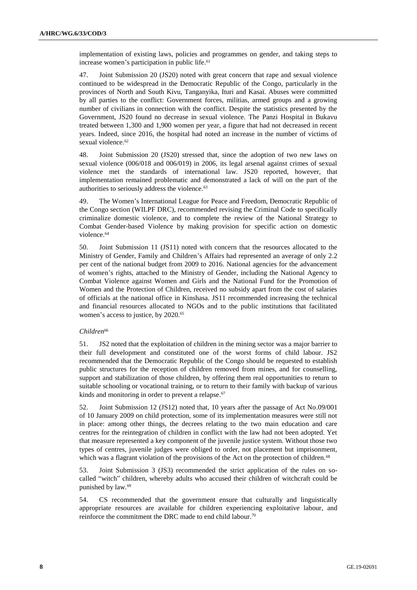implementation of existing laws, policies and programmes on gender, and taking steps to increase women's participation in public life.<sup>61</sup>

47. Joint Submission 20 (JS20) noted with great concern that rape and sexual violence continued to be widespread in the Democratic Republic of the Congo, particularly in the provinces of North and South Kivu, Tanganyika, Ituri and Kasaï. Abuses were committed by all parties to the conflict: Government forces, militias, armed groups and a growing number of civilians in connection with the conflict. Despite the statistics presented by the Government, JS20 found no decrease in sexual violence. The Panzi Hospital in Bukavu treated between 1,300 and 1,900 women per year, a figure that had not decreased in recent years. Indeed, since 2016, the hospital had noted an increase in the number of victims of sexual violence.<sup>62</sup>

48. Joint Submission 20 (JS20) stressed that, since the adoption of two new laws on sexual violence (006/018 and 006/019) in 2006, its legal arsenal against crimes of sexual violence met the standards of international law. JS20 reported, however, that implementation remained problematic and demonstrated a lack of will on the part of the authorities to seriously address the violence.<sup>63</sup>

49. The Women's International League for Peace and Freedom, Democratic Republic of the Congo section (WILPF DRC), recommended revising the Criminal Code to specifically criminalize domestic violence, and to complete the review of the National Strategy to Combat Gender-based Violence by making provision for specific action on domestic violence.<sup>64</sup>

50. Joint Submission 11 (JS11) noted with concern that the resources allocated to the Ministry of Gender, Family and Children's Affairs had represented an average of only 2.2 per cent of the national budget from 2009 to 2016. National agencies for the advancement of women's rights, attached to the Ministry of Gender, including the National Agency to Combat Violence against Women and Girls and the National Fund for the Promotion of Women and the Protection of Children, received no subsidy apart from the cost of salaries of officials at the national office in Kinshasa. JS11 recommended increasing the technical and financial resources allocated to NGOs and to the public institutions that facilitated women's access to justice, by 2020.<sup>65</sup>

#### *Children*<sup>66</sup>

51. JS2 noted that the exploitation of children in the mining sector was a major barrier to their full development and constituted one of the worst forms of child labour. JS2 recommended that the Democratic Republic of the Congo should be requested to establish public structures for the reception of children removed from mines, and for counselling, support and stabilization of those children, by offering them real opportunities to return to suitable schooling or vocational training, or to return to their family with backup of various kinds and monitoring in order to prevent a relapse.<sup>67</sup>

52. Joint Submission 12 (JS12) noted that, 10 years after the passage of Act No.09/001 of 10 January 2009 on child protection, some of its implementation measures were still not in place: among other things, the decrees relating to the two main education and care centres for the reintegration of children in conflict with the law had not been adopted. Yet that measure represented a key component of the juvenile justice system. Without those two types of centres, juvenile judges were obliged to order, not placement but imprisonment, which was a flagrant violation of the provisions of the Act on the protection of children.<sup>68</sup>

53. Joint Submission 3 (JS3) recommended the strict application of the rules on socalled "witch" children, whereby adults who accused their children of witchcraft could be punished by law.<sup>69</sup>

54. CS recommended that the government ensure that culturally and linguistically appropriate resources are available for children experiencing exploitative labour, and reinforce the commitment the DRC made to end child labour. 70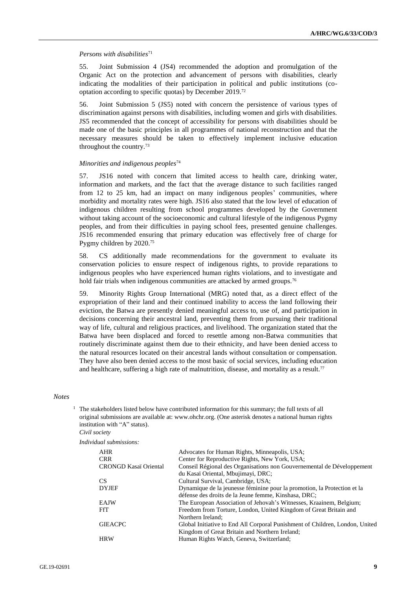#### *Persons with disabilities*<sup>71</sup>

55. Joint Submission 4 (JS4) recommended the adoption and promulgation of the Organic Act on the protection and advancement of persons with disabilities, clearly indicating the modalities of their participation in political and public institutions (cooptation according to specific quotas) by December 2019.<sup>72</sup>

56. Joint Submission 5 (JS5) noted with concern the persistence of various types of discrimination against persons with disabilities, including women and girls with disabilities. JS5 recommended that the concept of accessibility for persons with disabilities should be made one of the basic principles in all programmes of national reconstruction and that the necessary measures should be taken to effectively implement inclusive education throughout the country.<sup>73</sup>

#### *Minorities and indigenous peoples*<sup>74</sup>

57. JS16 noted with concern that limited access to health care, drinking water, information and markets, and the fact that the average distance to such facilities ranged from 12 to 25 km, had an impact on many indigenous peoples' communities, where morbidity and mortality rates were high. JS16 also stated that the low level of education of indigenous children resulting from school programmes developed by the Government without taking account of the socioeconomic and cultural lifestyle of the indigenous Pygmy peoples, and from their difficulties in paying school fees, presented genuine challenges. JS16 recommended ensuring that primary education was effectively free of charge for Pygmy children by 2020.<sup>75</sup>

58. CS additionally made recommendations for the government to evaluate its conservation policies to ensure respect of indigenous rights, to provide reparations to indigenous peoples who have experienced human rights violations, and to investigate and hold fair trials when indigenous communities are attacked by armed groups.<sup>76</sup>

59. Minority Rights Group International (MRG) noted that, as a direct effect of the expropriation of their land and their continued inability to access the land following their eviction, the Batwa are presently denied meaningful access to, use of, and participation in decisions concerning their ancestral land, preventing them from pursuing their traditional way of life, cultural and religious practices, and livelihood. The organization stated that the Batwa have been displaced and forced to resettle among non-Batwa communities that routinely discriminate against them due to their ethnicity, and have been denied access to the natural resources located on their ancestral lands without consultation or compensation. They have also been denied access to the most basic of social services, including education and healthcare, suffering a high rate of malnutrition, disease, and mortality as a result.<sup>77</sup>

#### *Notes*

<sup>1</sup> The stakeholders listed below have contributed information for this summary; the full texts of all original submissions are available at: [www.ohchr.org.](http://www.ohchr.org/) (One asterisk denotes a national human rights institution with "A" status).

*Civil society*

| Individual submissions: |
|-------------------------|
|                         |

| AHR                   | Advocates for Human Rights, Minneapolis, USA;                                |
|-----------------------|------------------------------------------------------------------------------|
| <b>CRR</b>            | Center for Reproductive Rights, New York, USA;                               |
| CRONGD Kasaï Oriental | Conseil Régional des Organisations non Gouvernemental de Développement       |
|                       | du Kasaï Oriental, Mbujimayi, DRC;                                           |
| CS.                   | Cultural Survival, Cambridge, USA;                                           |
| <b>DYJEF</b>          | Dynamique de la jeunesse féminine pour la promotion, la Protection et la     |
|                       | défense des droits de la Jeune femme, Kinshasa, DRC;                         |
| <b>EAJW</b>           | The European Association of Jehovah's Witnesses, Kraainem, Belgium;          |
| FfT                   | Freedom from Torture, London, United Kingdom of Great Britain and            |
|                       | Northern Ireland;                                                            |
| <b>GIEACPC</b>        | Global Initiative to End All Corporal Punishment of Children, London, United |
|                       | Kingdom of Great Britain and Northern Ireland;                               |
| <b>HRW</b>            | Human Rights Watch, Geneva, Switzerland;                                     |
|                       |                                                                              |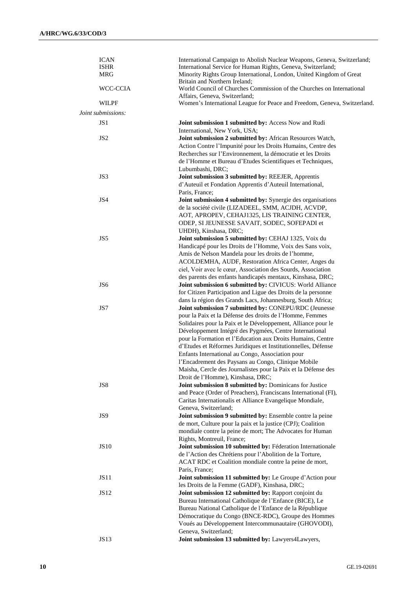| <b>ICAN</b>        | International Campaign to Abolish Nuclear Weapons, Geneva, Switzerland;  |
|--------------------|--------------------------------------------------------------------------|
| <b>ISHR</b>        | International Service for Human Rights, Geneva, Switzerland;             |
| MRG                | Minority Rights Group International, London, United Kingdom of Great     |
|                    | Britain and Northern Ireland;                                            |
|                    |                                                                          |
| WCC-CCIA           | World Council of Churches Commission of the Churches on International    |
|                    | Affairs, Geneva, Switzerland;                                            |
| WILPF              | Women's International League for Peace and Freedom, Geneva, Switzerland. |
| Joint submissions: |                                                                          |
|                    |                                                                          |
| JS <sub>1</sub>    | Joint submission 1 submitted by: Access Now and Rudi                     |
|                    | International, New York, USA;                                            |
| JS <sub>2</sub>    | Joint submission 2 submitted by: African Resources Watch,                |
|                    | Action Contre l'Impunité pour les Droits Humains, Centre des             |
|                    | Recherches sur l'Environnement, la démocratie et les Droits              |
|                    |                                                                          |
|                    | de l'Homme et Bureau d'Etudes Scientifiques et Techniques,               |
|                    | Lubumbashi, DRC;                                                         |
| JS3                | Joint submission 3 submitted by: REEJER, Apprentis                       |
|                    | d'Auteuil et Fondation Apprentis d'Auteuil International,                |
|                    | Paris, France;                                                           |
| JS4                | Joint submission 4 submitted by: Synergie des organisations              |
|                    |                                                                          |
|                    | de la société civile (LIZADEEL, SMM, ACJDH, ACVDP,                       |
|                    | AOT, APROPEV, CEHAJ1325, LIS TRAINING CENTER,                            |
|                    | ODEP, SI JEUNESSE SAVAIT, SODEC, SOFEPADI et                             |
|                    | UHDH), Kinshasa, DRC;                                                    |
| JS5                | Joint submission 5 submitted by: CEHAJ 1325, Voix du                     |
|                    | Handicapé pour les Droits de l'Homme, Voix des Sans voix,                |
|                    |                                                                          |
|                    | Amis de Nelson Mandela pour les droits de l'homme,                       |
|                    | ACOLDEMHA, AUDF, Restoration Africa Center, Anges du                     |
|                    | ciel, Voir avec le cœur, Association des Sourds, Association             |
|                    | des parents des enfants handicapés mentaux, Kinshasa, DRC;               |
| JS <sub>6</sub>    | Joint submission 6 submitted by: CIVICUS: World Alliance                 |
|                    | for Citizen Participation and Ligue des Droits de la personne            |
|                    |                                                                          |
|                    | dans la région des Grands Lacs, Johannesburg, South Africa;              |
| JS7                | Joint submission 7 submitted by: CONEPU/RDC (Jeunesse                    |
|                    | pour la Paix et la Défense des droits de l'Homme, Femmes                 |
|                    | Solidaires pour la Paix et le Développement, Alliance pour le            |
|                    | Développement Intégré des Pygmées, Centre International                  |
|                    |                                                                          |
|                    | pour la Formation et l'Education aux Droits Humains, Centre              |
|                    | d'Etudes et Réformes Juridiques et Institutionnelles, Défense            |
|                    | Enfants International au Congo, Association pour                         |
|                    | l'Encadrement des Paysans au Congo, Clinique Mobile                      |
|                    | Maisha, Cercle des Journalistes pour la Paix et la Défense des           |
|                    | Droit de l'Homme), Kinshasa, DRC;                                        |
| JS8                | Joint submission 8 submitted by: Dominicans for Justice                  |
|                    |                                                                          |
|                    | and Peace (Order of Preachers), Franciscans International (FI),          |
|                    | Caritas Internationalis et Alliance Evangelique Mondiale,                |
|                    | Geneva, Switzerland;                                                     |
| JS9                | Joint submission 9 submitted by: Ensemble contre la peine                |
|                    | de mort, Culture pour la paix et la justice (CPJ); Coalition             |
|                    | mondiale contre la peine de mort; The Advocates for Human                |
|                    |                                                                          |
|                    | Rights, Montreuil, France;                                               |
| <b>JS10</b>        | Joint submission 10 submitted by: Féderation Internationale              |
|                    | de l'Action des Chrétiens pour l'Abolition de la Torture,                |
|                    | ACAT RDC et Coalition mondiale contre la peine de mort,                  |
|                    | Paris, France;                                                           |
| JS11               | Joint submission 11 submitted by: Le Groupe d'Action pour                |
|                    |                                                                          |
|                    | les Droits de la Femme (GADF), Kinshasa, DRC;                            |
| JS12               | Joint submission 12 submitted by: Rapport conjoint du                    |
|                    | Bureau International Catholique de l'Enfance (BICE), Le                  |
|                    | Bureau National Catholique de l'Enfance de la République                 |
|                    | Démocratique du Congo (BNCE-RDC), Groupe des Hommes                      |
|                    | Voués au Développement Intercommunautaire (GHOVODI),                     |
|                    |                                                                          |
|                    | Geneva, Switzerland;                                                     |
| <b>JS13</b>        | Joint submission 13 submitted by: Lawyers4Lawyers,                       |
|                    |                                                                          |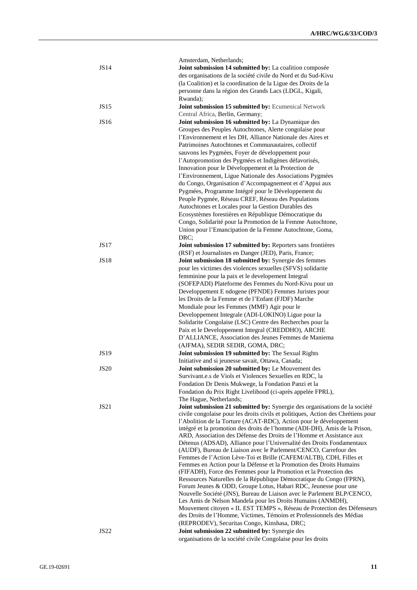|             | Amsterdam, Netherlands;                                                                                                                   |
|-------------|-------------------------------------------------------------------------------------------------------------------------------------------|
| <b>JS14</b> | Joint submission 14 submitted by: La coalition composée                                                                                   |
|             | des organisations de la société civile du Nord et du Sud-Kivu                                                                             |
|             | (la Coalition) et la coordination de la Ligue des Droits de la                                                                            |
|             | personne dans la région des Grands Lacs (LDGL, Kigali,                                                                                    |
|             | Rwanda);                                                                                                                                  |
| <b>JS15</b> | Joint submission 15 submitted by: Ecumenical Network                                                                                      |
|             | Central Africa, Berlin, Germany;                                                                                                          |
| JS16        | Joint submission 16 submitted by: La Dynamique des                                                                                        |
|             | Groupes des Peuples Autochtones, Alerte congolaise pour                                                                                   |
|             | l'Environnement et les DH, Alliance Nationale des Aires et                                                                                |
|             | Patrimoines Autochtones et Communautaires, collectif                                                                                      |
|             | sauvons les Pygmées, Foyer de développement pour                                                                                          |
|             | l'Autopromotion des Pygmées et Indigènes défavorisés,                                                                                     |
|             | Innovation pour le Développement et la Protection de                                                                                      |
|             | l'Environnement, Ligue Nationale des Associations Pygmées                                                                                 |
|             | du Congo, Organisation d'Accompagnement et d'Appui aux                                                                                    |
|             | Pygmées, Programme Intégré pour le Développement du                                                                                       |
|             | Peuple Pygmée, Réseau CREF, Réseau des Populations                                                                                        |
|             | Autochtones et Locales pour la Gestion Durables des                                                                                       |
|             | Ecosystèmes forestières en République Démocratique du                                                                                     |
|             | Congo, Solidarité pour la Promotion de la Femme Autochtone,                                                                               |
|             | Union pour l'Emancipation de la Femme Autochtone, Goma,                                                                                   |
|             | DRC:                                                                                                                                      |
| JS17        | Joint submission 17 submitted by: Reporters sans frontières                                                                               |
|             | (RSF) et Journalistes en Danger (JED), Paris, France;                                                                                     |
| <b>JS18</b> | Joint submission 18 submitted by: Synergie des femmes                                                                                     |
|             | pour les victimes des violences sexuelles (SFVS) solidarité                                                                               |
|             | femminine pour la paix et le developement Integral                                                                                        |
|             | (SOFEPADI) Plateforme des Femmes du Nord-Kivu pour un                                                                                     |
|             | Developpement E ndogene (PFNDE) Femmes Juristes pour                                                                                      |
|             | les Droits de la Femme et de l'Enfant (FJDF) Marche                                                                                       |
|             | Mondiale pour les Femmes (MMF) Agir pour le                                                                                               |
|             | Developpement Integrale (ADI-LOKINO) Ligue pour la                                                                                        |
|             | Solidarite Congolaise (LSC) Centre des Recherches pour la                                                                                 |
|             | Paix et le Developpement Integral (CREDDHO), ARCHE                                                                                        |
|             | D'ALLIANCE, Association des Jeunes Femmes de Maniema                                                                                      |
|             | (AJFMA), SEDIR SEDIR, GOMA, DRC;                                                                                                          |
| <b>JS19</b> | Joint submission 19 submitted by: The Sexual Rights                                                                                       |
|             | Initiative and si jeunesse savait, Ottawa, Canada;                                                                                        |
| <b>JS20</b> | Joint submission 20 submitted by: Le Mouvement des                                                                                        |
|             | Survivant.e.s de Viols et Violences Sexuelles en RDC, la                                                                                  |
|             | Fondation Dr Denis Mukwege, la Fondation Panzi et la                                                                                      |
|             | Fondation du Prix Right Livelihood (ci-après appelée FPRL),                                                                               |
|             | The Hague, Netherlands;                                                                                                                   |
| JS21        | Joint submission 21 submitted by: Synergie des organisations de la société                                                                |
|             | civile congolaise pour les droits civils et politiques, Action des Chrétiens pour                                                         |
|             | l'Abolition de la Torture (ACAT-RDC), Action pour le développement                                                                        |
|             | intégré et la promotion des droits de l'homme (ADI-DH), Amis de la Prison,                                                                |
|             | ARD, Association des Défense des Droits de l'Homme et Assistance aux                                                                      |
|             | Détenus (ADSAD), Alliance pour l'Universalité des Droits Fondamentaux                                                                     |
|             | (AUDF), Bureau de Liaison avec le Parlement/CENCO, Carrefour des                                                                          |
|             | Femmes de l'Action Lève-Toi et Brille (CAFEM/ALTB), CDH, Filles et                                                                        |
|             | Femmes en Action pour la Défense et la Promotion des Droits Humains                                                                       |
|             | (FIFADH), Force des Femmes pour la Promotion et la Protection des<br>Ressources Naturelles de la République Démocratique du Congo (FPRN), |
|             | Forum Jeunes & ODD, Groupe Lotus, Habari RDC, Jeunesse pour une                                                                           |
|             | Nouvelle Société (JNS), Bureau de Liaison avec le Parlement BLP/CENCO,                                                                    |
|             | Les Amis de Nelson Mandela pour les Droits Humains (ANMDH),                                                                               |
|             | Mouvement citoyen « IL EST TEMPS », Réseau de Protection des Défenseurs                                                                   |
|             | des Droits de l'Homme, Victimes, Témoins et Professionnels des Médias                                                                     |
|             | (REPRODEV), Securitas Congo, Kinshasa, DRC;                                                                                               |
| <b>JS22</b> | Joint submission 22 submitted by: Synergie des                                                                                            |
|             | organisations de la société civile Congolaise pour les droits                                                                             |
|             |                                                                                                                                           |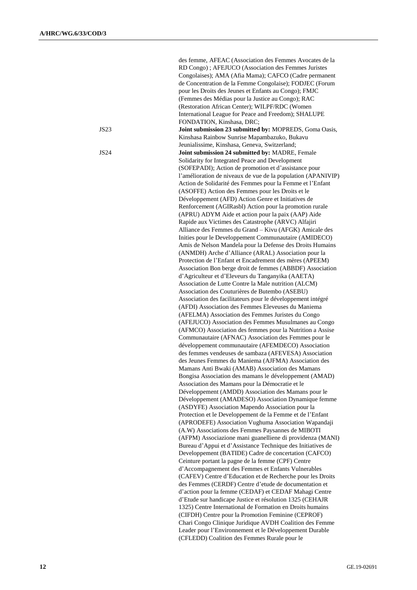|      | des femme, AFEAC (Association des Femmes Avocates de la      |
|------|--------------------------------------------------------------|
|      | RD Congo); AFEJUCO (Association des Femmes Juristes          |
|      | Congolaises); AMA (Afia Mama); CAFCO (Cadre permanent        |
|      | de Concentration de la Femme Congolaise); FODJEC (Forum      |
|      | pour les Droits des Jeunes et Enfants au Congo); FMJC        |
|      | (Femmes des Médias pour la Justice au Congo); RAC            |
|      | (Restoration African Center); WILPF/RDC (Women               |
|      | International League for Peace and Freedom); SHALUPE         |
|      | FONDATION, Kinshasa, DRC;                                    |
| JS23 | Joint submission 23 submitted by: MOPREDS, Goma Oasis,       |
|      | Kinshasa Rainbow Sunrise Mapambazuko, Bukavu                 |
|      | Jeunialissime, Kinshasa, Geneva, Switzerland;                |
| JS24 | Joint submission 24 submitted by: MADRE, Female              |
|      | Solidarity for Integrated Peace and Development              |
|      | (SOFEPADI); Action de promotion et d'assistance pour         |
|      | l'amélioration de niveaux de vue de la population (APANIVIP) |
|      | Action de Solidarité des Femmes pour la Femme et l'Enfant    |
|      | (ASOFFE) Action des Femmes pour les Droits et le             |
|      | Développement (AFD) Action Genre et Initiatives de           |
|      | Renforcement (AGIRasbl) Action pour la promotion rurale      |
|      | (APRU) ADYM Aide et action pour la paix (AAP) Aide           |
|      | Rapide aux Victimes des Catastrophe (ARVC) Alfajiri          |
|      | Alliance des Femmes du Grand - Kivu (AFGK) Amicale des       |
|      | Inities pour le Developpement Communautaire (AMIDECO)        |
|      | Amis de Nelson Mandela pour la Defense des Droits Humains    |
|      | (ANMDH) Arche d'Alliance (ARAL) Association pour la          |
|      | Protection de l'Enfant et Encadrement des mères (APEEM)      |
|      | Association Bon berge droit de femmes (ABBDF) Association    |
|      | d'Agriculteur et d'Eleveurs du Tanganyika (AAETA)            |
|      | Association de Lutte Contre la Male nutrition (ALCM)         |
|      | Association des Couturières de Butembo (ASEBU)               |
|      | Association des facilitateurs pour le développement intégré  |
|      | (AFDI) Association des Femmes Eleveuses du Maniema           |
|      | (AFELMA) Association des Femmes Juristes du Congo            |
|      | (AFEJUCO) Association des Femmes Musulmanes au Congo         |
|      | (AFMCO) Association des femmes pour la Nutrition a Assise    |
|      | Communautaire (AFNAC) Association des Femmes pour le         |
|      | développement communautaire (AFEMDECO) Association           |
|      | des femmes vendeuses de sambaza (AFEVESA) Association        |
|      | des Jeunes Femmes du Maniema (AJFMA) Association des         |
|      | Mamans Anti Bwaki (AMAB) Association des Mamans              |
|      | Bongisa Association des mamans le développement (AMAD)       |
|      | Association des Mamans pour la Démocratie et le              |
|      | Développement (AMDD) Association des Mamans pour le          |
|      | Développement (AMADESO) Association Dynamique femme          |
|      | (ASDYFE) Association Mapendo Association pour la             |
|      | Protection et le Developpement de la Femme et de l'Enfant    |
|      | (APRODEFE) Association Vughuma Association Wapandaji         |
|      | (A.W) Associations des Femmes Paysannes de MIBOTI            |
|      | (AFPM) Associazione mani guanelliene di providenza (MANI)    |
|      | Bureau d'Appui et d'Assistance Technique des Initiatives de  |
|      | Developpement (BATIDE) Cadre de concertation (CAFCO)         |
|      | Ceinture portant la pagne de la femme (CPF) Centre           |
|      | d'Accompagnement des Femmes et Enfants Vulnerables           |
|      | (CAFEV) Centre d'Education et de Recherche pour les Droits   |
|      | des Femmes (CERDF) Centre d'etude de documentation et        |
|      | d'action pour la femme (CEDAF) et CEDAF Mahagi Centre        |
|      | d'Etude sur handicape Justice et résolution 1325 (CEHAJR     |
|      | 1325) Centre International de Formation en Droits humains    |
|      | (CIFDH) Centre pour la Promotion Feminine (CEPROF)           |
|      | Chari Congo Clinique Juridique AVDH Coalition des Femme      |
|      | Leader pour l'Environnement et le Développement Durable      |
|      | (CFLEDD) Coalition des Femmes Rurale pour le                 |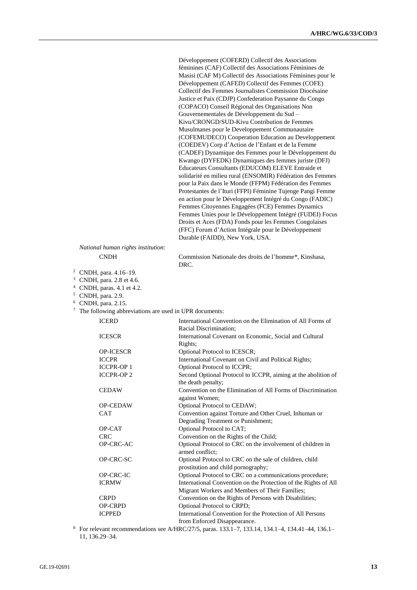|                                                                                                                                                                                                       | Développement (COFERD) Collectif des Associations<br>féminines (CAF) Collectif des Associations Féminines de<br>Masisi (CAF M) Collectif des Associations Féminines pour le<br>Développement (CAFED) Collectif des Femmes (COFE)<br>Collectif des Femmes Journalistes Commission Diocésaine<br>Justice et Paix (CDJP) Confederation Paysanne du Congo<br>(COPACO) Conseil Régional des Organisations Non<br>Gouvernementales de Développement du Sud-<br>Kivu/CRONGD/SUD-Kivu Contribution de Femmes<br>Musulmanes pour le Developpement Communautaire<br>(COFEMUDECO) Cooperation Education au Developpement<br>(COEDEV) Corp d'Action de l'Enfant et de la Femme |
|-------------------------------------------------------------------------------------------------------------------------------------------------------------------------------------------------------|--------------------------------------------------------------------------------------------------------------------------------------------------------------------------------------------------------------------------------------------------------------------------------------------------------------------------------------------------------------------------------------------------------------------------------------------------------------------------------------------------------------------------------------------------------------------------------------------------------------------------------------------------------------------|
|                                                                                                                                                                                                       | (CADEF) Dynamique des Femmes pour le Développement du<br>Kwango (DYFEDK) Dynamiques des femmes juriste (DFJ)<br>Educateurs Consultants (EDUCOM) ELEVE Entraide et<br>solidarité en milieu rural (ENSOMIR) Fédération des Femmes<br>pour la Paix dans le Monde (FFPM) Fédération des Femmes<br>Protestantes de l'Ituri (FFPI) Féminine Tujenge Pangi Femme<br>en action pour le Développement Intégré du Congo (FADIC)                                                                                                                                                                                                                                              |
|                                                                                                                                                                                                       | Femmes Citoyennes Engagées (FCE) Femmes Dynamics<br>Femmes Unies pour le Développement Intégré (FUDEI) Focus<br>Droits et Aces (FDA) Fonds pour les Femmes Congolaises<br>(FFC) Forum d'Action Intégrale pour le Développement<br>Durable (FAIDD), New York, USA.                                                                                                                                                                                                                                                                                                                                                                                                  |
| National human rights institution:                                                                                                                                                                    |                                                                                                                                                                                                                                                                                                                                                                                                                                                                                                                                                                                                                                                                    |
| <b>CNDH</b>                                                                                                                                                                                           | Commission Nationale des droits de l'homme*, Kinshasa,<br>DRC.                                                                                                                                                                                                                                                                                                                                                                                                                                                                                                                                                                                                     |
| <sup>3</sup> CNDH, para. 2.8 et 4.6.<br><sup>4</sup> CNDH, paras. 4.1 et 4.2.<br><sup>5</sup> CNDH, para. 2.9.<br>$6$ CNDH, para. 2.15.<br>$7$ The following abbreviations are used in UPR documents: |                                                                                                                                                                                                                                                                                                                                                                                                                                                                                                                                                                                                                                                                    |
| <b>ICERD</b>                                                                                                                                                                                          | International Convention on the Elimination of All Forms of<br>Racial Discrimination;                                                                                                                                                                                                                                                                                                                                                                                                                                                                                                                                                                              |
| <b>ICESCR</b>                                                                                                                                                                                         | International Covenant on Economic, Social and Cultural<br>Rights;                                                                                                                                                                                                                                                                                                                                                                                                                                                                                                                                                                                                 |
| OP-ICESCR                                                                                                                                                                                             | Optional Protocol to ICESCR;                                                                                                                                                                                                                                                                                                                                                                                                                                                                                                                                                                                                                                       |
| <b>ICCPR</b>                                                                                                                                                                                          | International Covenant on Civil and Political Rights;                                                                                                                                                                                                                                                                                                                                                                                                                                                                                                                                                                                                              |
| <b>ICCPR-OP1</b>                                                                                                                                                                                      | Optional Protocol to ICCPR;                                                                                                                                                                                                                                                                                                                                                                                                                                                                                                                                                                                                                                        |
| <b>ICCPR-OP2</b>                                                                                                                                                                                      | Second Optional Protocol to ICCPR, aiming at the abolition of<br>the death penalty;                                                                                                                                                                                                                                                                                                                                                                                                                                                                                                                                                                                |
| <b>CEDAW</b>                                                                                                                                                                                          | Convention on the Elimination of All Forms of Discrimination                                                                                                                                                                                                                                                                                                                                                                                                                                                                                                                                                                                                       |
|                                                                                                                                                                                                       | against Women;                                                                                                                                                                                                                                                                                                                                                                                                                                                                                                                                                                                                                                                     |
| OP-CEDAW<br><b>CAT</b>                                                                                                                                                                                | Optional Protocol to CEDAW;<br>Convention against Torture and Other Cruel, Inhuman or                                                                                                                                                                                                                                                                                                                                                                                                                                                                                                                                                                              |
|                                                                                                                                                                                                       | Degrading Treatment or Punishment;                                                                                                                                                                                                                                                                                                                                                                                                                                                                                                                                                                                                                                 |
| OP-CAT                                                                                                                                                                                                | Optional Protocol to CAT;                                                                                                                                                                                                                                                                                                                                                                                                                                                                                                                                                                                                                                          |
| <b>CRC</b>                                                                                                                                                                                            | Convention on the Rights of the Child;                                                                                                                                                                                                                                                                                                                                                                                                                                                                                                                                                                                                                             |
| OP-CRC-AC                                                                                                                                                                                             | Optional Protocol to CRC on the involvement of children in<br>armed conflict;                                                                                                                                                                                                                                                                                                                                                                                                                                                                                                                                                                                      |
| OP-CRC-SC                                                                                                                                                                                             | Optional Protocol to CRC on the sale of children, child<br>prostitution and child pornography;                                                                                                                                                                                                                                                                                                                                                                                                                                                                                                                                                                     |
| OP-CRC-IC                                                                                                                                                                                             | Optional Protocol to CRC on a communications procedure;                                                                                                                                                                                                                                                                                                                                                                                                                                                                                                                                                                                                            |
|                                                                                                                                                                                                       |                                                                                                                                                                                                                                                                                                                                                                                                                                                                                                                                                                                                                                                                    |
| <b>ICRMW</b>                                                                                                                                                                                          | International Convention on the Protection of the Rights of All                                                                                                                                                                                                                                                                                                                                                                                                                                                                                                                                                                                                    |
|                                                                                                                                                                                                       | Migrant Workers and Members of Their Families;                                                                                                                                                                                                                                                                                                                                                                                                                                                                                                                                                                                                                     |
| <b>CRPD</b><br>OP-CRPD                                                                                                                                                                                | Convention on the Rights of Persons with Disabilities;<br>Optional Protocol to CRPD;                                                                                                                                                                                                                                                                                                                                                                                                                                                                                                                                                                               |

from Enforced Disappearance. <sup>8</sup> For relevant recommendations see A/HRC/27/5, paras. 133.1–7, 133.14, 134.1–4, 134.41–44, 136.1–

ICPPED International Convention for the Protection of All Persons

11, 136.29–34.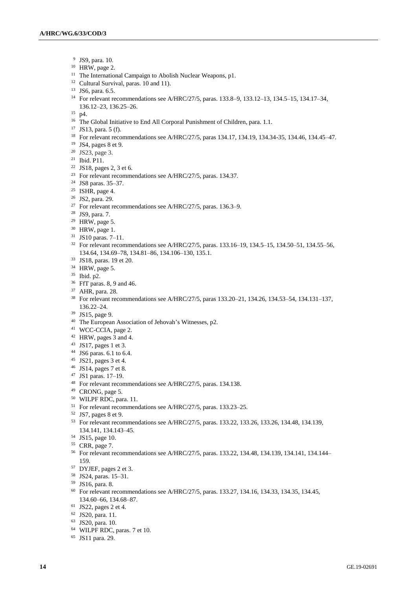- JS9, para. 10.
- HRW, page 2.
- <sup>11</sup> The International Campaign to Abolish Nuclear Weapons, p1.
- <sup>12</sup> Cultural Survival, paras. 10 and 11).
- JS6, para. 6.5.
- For relevant recommendations see A/HRC/27/5, paras. 133.8–9, 133.12–13, 134.5–15, 134.17–34, 136.12–23, 136.25–26.
- p4.
- <sup>16</sup> The Global Initiative to End All Corporal Punishment of Children, para. 1.1.
- JS13, para. 5 (f).
- For relevant recommendations see A/HRC/27/5, paras 134.17, 134.19, 134.34-35, 134.46, 134.45–47.
- JS4, pages 8 et 9.
- JS23, page 3.
- Ibid. P11.
- JS18, pages 2, 3 et 6.
- For relevant recommendations see A/HRC/27/5, paras. 134.37.
- JS8 paras. 35–37.
- <sup>25</sup> ISHR, page 4.
- JS2, para. 29.
- <sup>27</sup> For relevant recommendations see A/HRC/27/5, paras. 136.3–9.
- JS9, para. 7.
- HRW, page 5.
- HRW, page 1.
- JS10 paras. 7–11.
- For relevant recommendations see A/HRC/27/5, paras. 133.16–19, 134.5–15, 134.50–51, 134.55–56, 134.64, 134.69–78, 134.81–86, 134.106–130, 135.1.
- JS18, paras. 19 et 20.
- HRW, page 5.
- Ibid. p2.
- FfT paras. 8, 9 and 46.
- AHR, para. 28.
- For relevant recommendations see A/HRC/27/5, paras 133.20–21, 134.26, 134.53–54, 134.131–137, 136.22–24.
- JS15, page 9.
- The European Association of Jehovah's Witnesses, p2.
- WCC-CCIA, page 2.
- HRW, pages 3 and 4.
- JS17, pages 1 et 3.
- JS6 paras. 6.1 to 6.4.
- JS21, pages 3 et 4.
- JS14, pages 7 et 8.
- JS1 paras. 17–19.
- For relevant recommendations see A/HRC/27/5, paras. 134.138.
- CRONG, page 5.
- WILPF RDC, para. 11.
- For relevant recommendations see A/HRC/27/5, paras. 133.23–25.
- JS7, pages 8 et 9.
- For relevant recommendations see A/HRC/27/5, paras. 133.22, 133.26, 133.26, 134.48, 134.139, 134.141, 134.143–45.
- JS15, page 10.
- CRR, page 7.
- For relevant recommendations see A/HRC/27/5, paras. 133.22, 134.48, 134.139, 134.141, 134.144– 159.
- DYJEF, pages 2 et 3.
- JS24, paras. 15–31.
- JS16, para. 8.
- For relevant recommendations see A/HRC/27/5, paras. 133.27, 134.16, 134.33, 134.35, 134.45, 134.60–66, 134.68–87.
- JS22, pages 2 et 4.
- JS20, para. 11.
- JS20, para. 10.
- WILPF RDC, paras. 7 et 10.
- JS11 para. 29.